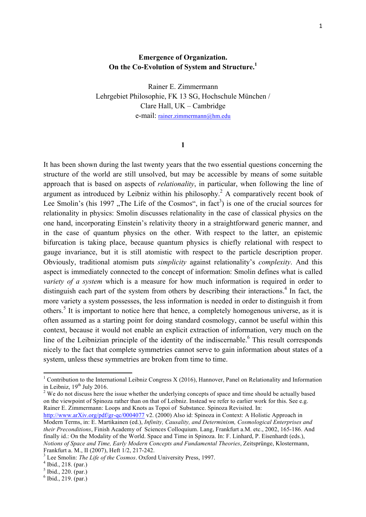## **Emergence of Organization. On the Co-Evolution of System and Structure.1**

Rainer E. Zimmermann Lehrgebiet Philosophie, FK 13 SG, Hochschule München / Clare Hall, UK – Cambridge e-mail: rainer.zimmermann@hm.edu

## **1**

It has been shown during the last twenty years that the two essential questions concerning the structure of the world are still unsolved, but may be accessible by means of some suitable approach that is based on aspects of *relationality*, in particular, when following the line of argument as introduced by Leibniz within his philosophy.<sup>2</sup> A comparatively recent book of Lee Smolin's (his 1997), The Life of the Cosmos", in fact<sup>3</sup>) is one of the crucial sources for relationality in physics: Smolin discusses relationality in the case of classical physics on the one hand, incorporating Einstein's relativity theory in a straightforward generic manner, and in the case of quantum physics on the other. With respect to the latter, an epistemic bifurcation is taking place, because quantum physics is chiefly relational with respect to gauge invariance, but it is still atomistic with respect to the particle description proper. Obviously, traditional atomism puts *simplicity* against relationality's *complexity*. And this aspect is immediately connected to the concept of information: Smolin defines what is called *variety of a system* which is a measure for how much information is required in order to distinguish each part of the system from others by describing their interactions.<sup>4</sup> In fact, the more variety a system possesses, the less information is needed in order to distinguish it from others.<sup>5</sup> It is important to notice here that hence, a completely homogenous universe, as it is often assumed as a starting point for doing standard cosmology, cannot be useful within this context, because it would not enable an explicit extraction of information, very much on the line of the Leibnizian principle of the identity of the indiscernable.<sup>6</sup> This result corresponds nicely to the fact that complete symmetries cannot serve to gain information about states of a system, unless these symmetries are broken from time to time.

<sup>2</sup> We do not discuss here the issue whether the underlying concepts of space and time should be actually based on the viewpoint of Spinoza rather than on that of Leibniz. Instead we refer to earlier work for this. See e.g. Rainer E. Zimmermann: Loops and Knots as Topoi of Substance. Spinoza Revisited. In:

http://www.arXiv.org/pdf/gr-qc/0004077 v2. (2000) Also id: Spinoza in Context: A Holistic Approach in Modern Terms, in: E. Martikainen (ed.), *Infinity, Causality, and Determinism, Cosmological Enterprises and their Preconditions*, Finish Academy of Sciences Colloquium. Lang, Frankfurt a.M. etc., 2002, 165-186. And finally id.: On the Modality of the World. Space and Time in Spinoza. In: F. Linhard, P. Eisenhardt (eds.), *Notions of Space and Time, Early Modern Concepts and Fundamental Theories*, Zeitsprünge, Klostermann,

<sup>&</sup>lt;sup>1</sup> Contribution to the International Leibniz Congress X (2016), Hannover, Panel on Relationality and Information in Leibniz,  $19<sup>th</sup>$  July 2016.

<sup>&</sup>lt;sup>3</sup> Lee Smolin: *The Life of the Cosmos*. Oxford University Press, 1997.<br><sup>4</sup> Ibid., 218. (par.)<br><sup>5</sup> Ibid., 220. (par.)

 $6$  Ibid., 219. (par.)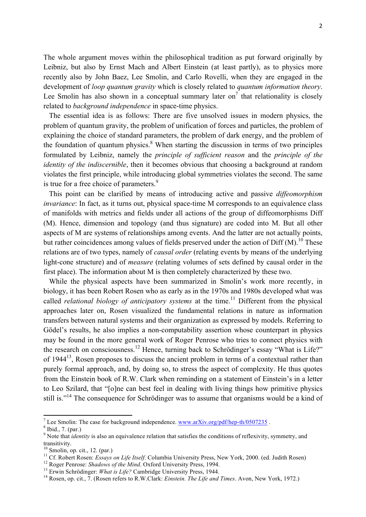The whole argument moves within the philosophical tradition as put forward originally by Leibniz, but also by Ernst Mach and Albert Einstein (at least partly), as to physics more recently also by John Baez, Lee Smolin, and Carlo Rovelli, when they are engaged in the development of *loop quantum gravity* which is closely related to *quantum information theory*. Lee Smolin has also shown in a conceptual summary later on<sup>7</sup> that relationality is closely related to *background independence* in space-time physics.

 The essential idea is as follows: There are five unsolved issues in modern physics, the problem of quantum gravity, the problem of unification of forces and particles, the problem of explaining the choice of standard parameters, the problem of dark energy, and the problem of the foundation of quantum physics. $8$  When starting the discussion in terms of two principles formulated by Leibniz, namely the *principle of sufficient reason* and the *principle of the identity of the indiscernible*, then it becomes obvious that choosing a background at random violates the first principle, while introducing global symmetries violates the second. The same is true for a free choice of parameters.<sup>9</sup>

 This point can be clarified by means of introducing active and passive *diffeomorphism invariance*: In fact, as it turns out, physical space-time M corresponds to an equivalence class of manifolds with metrics and fields under all actions of the group of diffeomorphisms Diff (M). Hence, dimension and topology (and thus signature) are coded into M. But all other aspects of M are systems of relationships among events. And the latter are not actually points, but rather coincidences among values of fields preserved under the action of Diff  $(M)$ .<sup>10</sup> These relations are of two types, namely of *causal order* (relating events by means of the underlying light-cone structure) and of *measure* (relating volumes of sets defined by causal order in the first place). The information about M is then completely characterized by these two.

 While the physical aspects have been summarized in Smolin's work more recently, in biology, it has been Robert Rosen who as early as in the 1970s and 1980s developed what was called *relational biology of anticipatory systems* at the time.<sup>11</sup> Different from the physical approaches later on, Rosen visualized the fundamental relations in nature as information transfers between natural systems and their organization as expressed by models. Referring to Gödel's results, he also implies a non-computability assertion whose counterpart in physics may be found in the more general work of Roger Penrose who tries to connect physics with the research on consciousness.<sup>12</sup> Hence, turning back to Schrödinger's essay "What is Life?" of 1944<sup>13</sup>. Rosen proposes to discuss the ancient problem in terms of a contextual rather than purely formal approach, and, by doing so, to stress the aspect of complexity. He thus quotes from the Einstein book of R.W. Clark when reminding on a statement of Einstein's in a letter to Leo Szilard, that "[o]ne can best feel in dealing with living things how primitive physics still is."<sup>14</sup> The consequence for Schrödinger was to assume that organisms would be a kind of

<sup>&</sup>lt;sup>7</sup> Lee Smolin: The case for background independence. www.arXiv.org/pdf/hep-th/0507235. <sup>8</sup> Ibid., 7. (par.)

<sup>&</sup>lt;sup>9</sup> Note that *identity* is also an equivalence relation that satisfies the conditions of reflexivity, symmetry, and transitivity.

<sup>&</sup>lt;sup>10</sup> Smolin, op. cit., 12. (par.)<br><sup>11</sup> Cf. Robert Rosen: *Essays on Life Itself*. Columbia University Press, New York, 2000. (ed. Judith Rosen)<br><sup>12</sup> Roger Penrose: *Shadows of the Mind*. Oxford University Press, 1994.<br><sup>13</sup>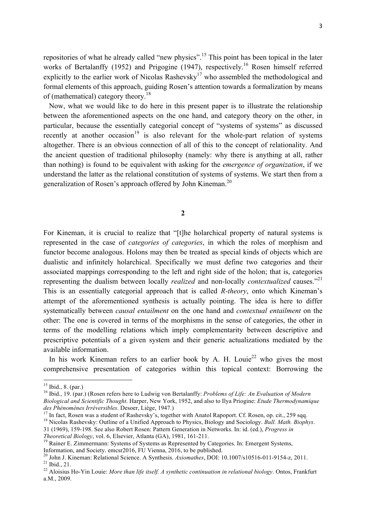repositories of what he already called "new physics".<sup>15</sup> This point has been topical in the later works of Bertalanffy (1952) and Prigogine (1947), respectively.<sup>16</sup> Rosen himself referred explicitly to the earlier work of Nicolas Rashevsky<sup>17</sup> who assembled the methodological and formal elements of this approach, guiding Rosen's attention towards a formalization by means of (mathematical) category theory.<sup>18</sup>

 Now, what we would like to do here in this present paper is to illustrate the relationship between the aforementioned aspects on the one hand, and category theory on the other, in particular, because the essentially categorial concept of "systems of systems" as discussed recently at another occasion<sup>19</sup> is also relevant for the whole-part relation of systems altogether. There is an obvious connection of all of this to the concept of relationality. And the ancient question of traditional philosophy (namely: why there is anything at all, rather than nothing) is found to be equivalent with asking for the *emergence of organization*, if we understand the latter as the relational constitution of systems of systems. We start then from a generalization of Rosen's approach offered by John Kineman.<sup>20</sup>

**2**

For Kineman, it is crucial to realize that "[t]he holarchical property of natural systems is represented in the case of *categories of categories*, in which the roles of morphism and functor become analogous. Holons may then be treated as special kinds of objects which are dualistic and infinitely holarchical. Specifically we must define two categories and their associated mappings corresponding to the left and right side of the holon; that is, categories representing the dualism between locally *realized* and non-locally *contextualized* causes."<sup>21</sup> This is an essentially categorial approach that is called *R-theory*, onto which Kineman's attempt of the aforementioned synthesis is actually pointing. The idea is here to differ systematically between *causal entailment* on the one hand and *contextual entailment* on the other: The one is covered in terms of the morphisms in the sense of categories, the other in terms of the modelling relations which imply complementarity between descriptive and prescriptive potentials of a given system and their generic actualizations mediated by the available information.

In his work Kineman refers to an earlier book by A. H. Louie<sup>22</sup> who gives the most comprehensive presentation of categories within this topical context: Borrowing the

<sup>&</sup>lt;sup>15</sup> Ibid., 8. (par.)<br><sup>16</sup> Ibid., 19. (par.) (Rosen refers here to Ludwig von Bertalanffy: *Problems of Life: An Evaluation of Modern Biological and Scientific Thought*. Harper, New York, 1952, and also to Ilya Priogine: *Etude Thermodynamique* 

<sup>&</sup>lt;sup>17</sup> In fact, Rosen was a student of Rashevsky's, together with Anatol Rapoport. Cf. Rosen, op. cit., 259 sqq. <sup>18</sup> Nicolas Rashevsky: Outline of a Unified Approach to Physics, Biology and Sociology. *Bull. Math. Biophys.* 

<sup>31 (1969), 159-198.</sup> See also Robert Rosen: Pattern Generation in Networks. In: id. (ed.), *Progress in* 

*Theoretical Biology*, vol. 6, Elsevier, Atlanta (GA), 1981, 161-211.<br><sup>19</sup> Rainer E. Zimmermann: Systems of Systems as Represented by Categories. In: Emergent Systems,

Information, and Society. emesr2016, FU Vienna, 2016, to be published.<br><sup>20</sup> John J. Kineman: Relational Science. A Synthesis. *Axiomathes*, DOI: 10.1007/s10516-011-9154-z, 2011.<br><sup>21</sup> Ibid., 21.<br><sup>22</sup> Aloisius Ho-Yin Louie:

a.M., 2009.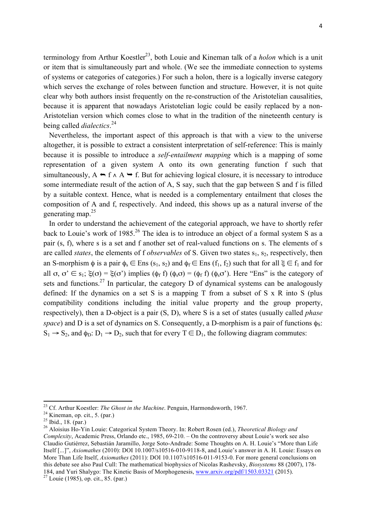4

terminology from Arthur Koestler<sup>23</sup>, both Louie and Kineman talk of a *holon* which is a unit or item that is simultaneously part and whole. (We see the immediate connection to systems of systems or categories of categories.) For such a holon, there is a logically inverse category which serves the exchange of roles between function and structure. However, it is not quite clear why both authors insist frequently on the re-construction of the Aristotelian causalities, because it is apparent that nowadays Aristotelian logic could be easily replaced by a non-Aristotelian version which comes close to what in the tradition of the nineteenth century is being called *dialectics*. 24

 Nevertheless, the important aspect of this approach is that with a view to the universe altogether, it is possible to extract a consistent interpretation of self-reference: This is mainly because it is possible to introduce a *self-entailment mapping* which is a mapping of some representation of a given system A onto its own generating function f such that simultaneously,  $A \rightarrow f \wedge A \rightarrow f$ . But for achieving logical closure, it is necessary to introduce some intermediate result of the action of A, S say, such that the gap between S and f is filled by a suitable context. Hence, what is needed is a complementary entailment that closes the composition of A and f, respectively. And indeed, this shows up as a natural inverse of the generating map. $25$ 

 In order to understand the achievement of the categorial approach, we have to shortly refer back to Louie's work of 1985.<sup>26</sup> The idea is to introduce an object of a formal system S as a pair (s, f), where s is a set and f another set of real-valued functions on s. The elements of s are called *states*, the elements of f *observables* of S. Given two states  $s_1$ ,  $s_2$ , respectively, then an S-morphism  $\phi$  is a pair  $\phi_s \in \text{Ens}(s_1, s_2)$  and  $\phi_f \in \text{Ens}(f_1, f_2)$  such that for all  $\xi \in f_1$  and for all  $\sigma, \sigma' \in s_1$ ;  $\xi(\sigma) = \xi(\sigma')$  implies  $(\phi_f f)(\phi_s \sigma) = (\phi_f f)(\phi_s \sigma')$ . Here "Ens" is the category of sets and functions.<sup>27</sup> In particular, the category D of dynamical systems can be analogously defined: If the dynamics on a set S is a mapping T from a subset of S x R into S (plus compatibility conditions including the initial value property and the group property, respectively), then a D-object is a pair (S, D), where S is a set of states (usually called *phase space*) and D is a set of dynamics on S. Consequently, a D-morphism is a pair of functions  $\phi$ <sub>S</sub>:  $S_1 \rightarrow S_2$ , and  $\phi_D: D_1 \rightarrow D_2$ , such that for every  $T \in D_1$ , the following diagram commutes:

<sup>&</sup>lt;sup>23</sup> Cf. Arthur Koestler: *The Ghost in the Machine*. Penguin, Harmondsworth, 1967.<br><sup>24</sup> Kineman, op. cit., 5. (par.)<br><sup>25</sup> Ibid., 18. (par.)<br><sup>25</sup> Aloisius Ho-Yin Louie: Categorical System Theory. In: Robert Rosen (ed.),

*Complexity*, Academic Press, Orlando etc., 1985, 69-210. – On the controversy about Louie's work see also Claudio Gutiérrez, Sebastián Jaramillo, Jorge Soto-Andrade: Some Thoughts on A. H. Louie's "More than Life Itself [...]", *Axiomathes* (2010): DOI 10.1007/s10516-010-9118-8, and Louie's answer in A. H. Louie: Essays on More Than Life Itself, *Axiomathes* (2011): DOI 10.1107/s10516-011-9153-0. For more general conclusions on this debate see also Paul Cull: The mathematical biophysics of Nicolas Rashevsky, *Biosystems* 88 (2007), 178- 184, and Yuri Shalygo: The Kinetic Basis of Morphogenesis, www.arxiv.org/pdf/1503.03321 (2015). <sup>27</sup> Louie (1985), op. cit., 85. (par.)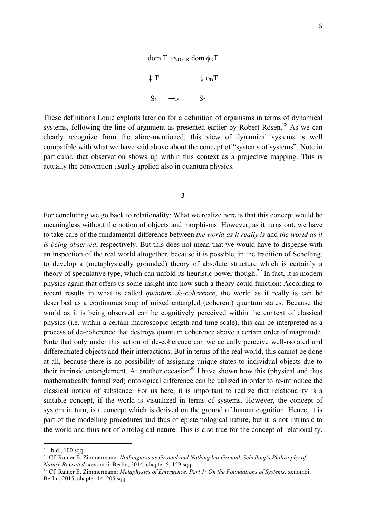

These definitions Louie exploits later on for a definition of organisms in terms of dynamical systems, following the line of argument as presented earlier by Robert Rosen.<sup>28</sup> As we can clearly recognize from the afore-mentioned, this view of dynamical systems is well compatible with what we have said above about the concept of "systems of systems". Note in particular, that observation shows up within this context as a projective mapping. This is actually the convention usually applied also in quantum physics.

**3**

For concluding we go back to relationality: What we realize here is that this concept would be meaningless without the notion of objects and morphisms. However, as it turns out, we have to take care of the fundamental difference between *the world as it really is* and *the world as it is being observed*, respectively. But this does not mean that we would have to dispense with an inspection of the real world altogether, because it is possible, in the tradition of Schelling, to develop a (metaphysically grounded) theory of absolute structure which is certainly a theory of speculative type, which can unfold its heuristic power though.<sup>29</sup> In fact, it is modern physics again that offers us some insight into how such a theory could function: According to recent results in what is called *quantum de-coherence*, the world as it really is can be described as a continuous soup of mixed entangled (coherent) quantum states. Because the world as it is being observed can be cognitively perceived within the context of classical physics (i.e. within a certain macroscopic length and time scale), this can be interpreted as a process of de-coherence that destroys quantum coherence above a certain order of magnitude. Note that only under this action of de-coherence can we actually perceive well-isolated and differentiated objects and their interactions. But in terms of the real world, this cannot be done at all, because there is no possibility of assigning unique states to individual objects due to their intrinsic entanglement. At another occasion<sup>30</sup> I have shown how this (physical and thus mathematically formalized) ontological difference can be utilized in order to re-introduce the classical notion of substance. For us here, it is important to realize that relationality is a suitable concept, if the world is visualized in terms of systems. However, the concept of system in turn, is a concept which is derived on the ground of human cognition. Hence, it is part of the modelling procedures and thus of epistemological nature, but it is not intrinsic to the world and thus not of ontological nature. This is also true for the concept of relationality.

<sup>&</sup>lt;sup>28</sup> Ibid., 100 sqq.<br><sup>29</sup> Cf. Rainer E. Zimmermann: *Nothingness as Ground and Nothing but Ground. Schelling's Philosophy of*<br>*Nature Revisited.* xenomoi, Berlin, 2014, chapter 5, 159 sqq.

<sup>&</sup>lt;sup>30</sup> Cf. Rainer E. Zimmermann: *Metaphysics of Emergence. Part 1: On the Foundations of Systems*. xenomoi, Berlin, 2015, chapter 14, 205 sqq.